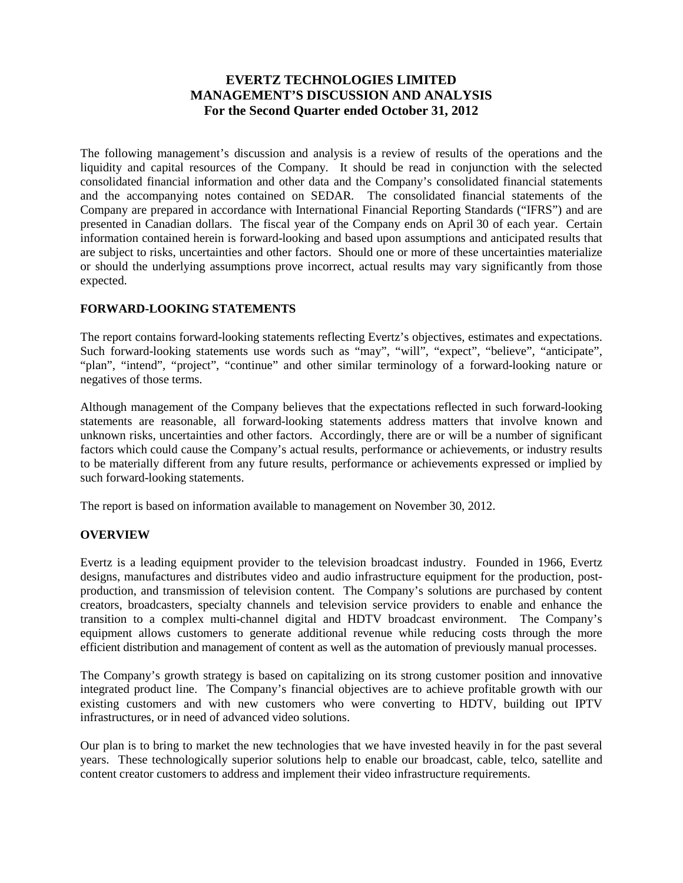# **EVERTZ TECHNOLOGIES LIMITED MANAGEMENT'S DISCUSSION AND ANALYSIS For the Second Quarter ended October 31, 2012**

The following management's discussion and analysis is a review of results of the operations and the liquidity and capital resources of the Company. It should be read in conjunction with the selected consolidated financial information and other data and the Company's consolidated financial statements and the accompanying notes contained on SEDAR. The consolidated financial statements of the Company are prepared in accordance with International Financial Reporting Standards ("IFRS") and are presented in Canadian dollars. The fiscal year of the Company ends on April 30 of each year. Certain information contained herein is forward-looking and based upon assumptions and anticipated results that are subject to risks, uncertainties and other factors. Should one or more of these uncertainties materialize or should the underlying assumptions prove incorrect, actual results may vary significantly from those expected.

### **FORWARD-LOOKING STATEMENTS**

The report contains forward-looking statements reflecting Evertz's objectives, estimates and expectations. Such forward-looking statements use words such as "may", "will", "expect", "believe", "anticipate", "plan", "intend", "project", "continue" and other similar terminology of a forward-looking nature or negatives of those terms.

Although management of the Company believes that the expectations reflected in such forward-looking statements are reasonable, all forward-looking statements address matters that involve known and unknown risks, uncertainties and other factors. Accordingly, there are or will be a number of significant factors which could cause the Company's actual results, performance or achievements, or industry results to be materially different from any future results, performance or achievements expressed or implied by such forward-looking statements.

The report is based on information available to management on November 30, 2012.

### **OVERVIEW**

Evertz is a leading equipment provider to the television broadcast industry. Founded in 1966, Evertz designs, manufactures and distributes video and audio infrastructure equipment for the production, postproduction, and transmission of television content. The Company's solutions are purchased by content creators, broadcasters, specialty channels and television service providers to enable and enhance the transition to a complex multi-channel digital and HDTV broadcast environment. The Company's equipment allows customers to generate additional revenue while reducing costs through the more efficient distribution and management of content as well as the automation of previously manual processes.

The Company's growth strategy is based on capitalizing on its strong customer position and innovative integrated product line. The Company's financial objectives are to achieve profitable growth with our existing customers and with new customers who were converting to HDTV, building out IPTV infrastructures, or in need of advanced video solutions.

Our plan is to bring to market the new technologies that we have invested heavily in for the past several years. These technologically superior solutions help to enable our broadcast, cable, telco, satellite and content creator customers to address and implement their video infrastructure requirements.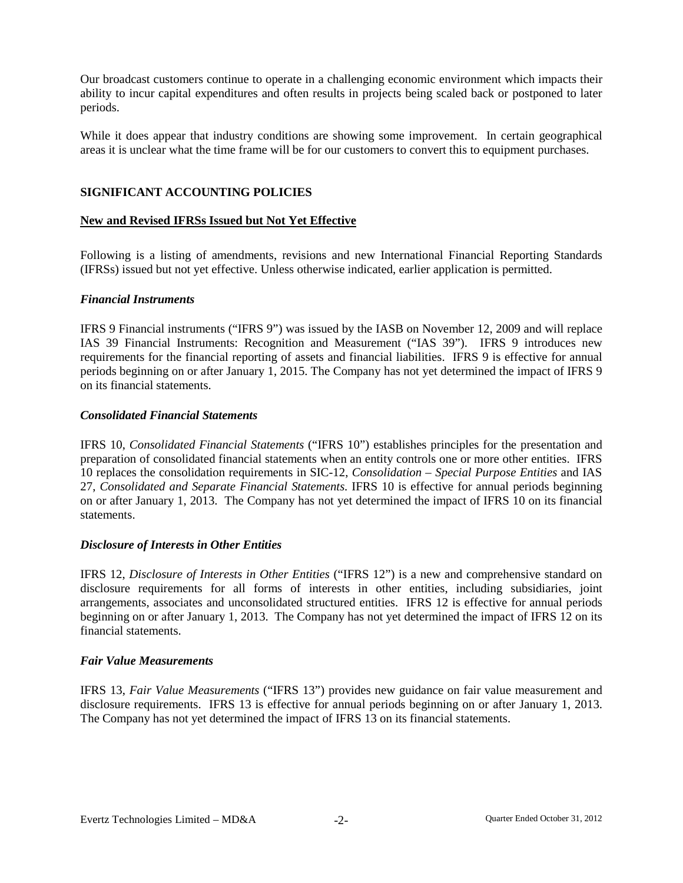Our broadcast customers continue to operate in a challenging economic environment which impacts their ability to incur capital expenditures and often results in projects being scaled back or postponed to later periods.

While it does appear that industry conditions are showing some improvement. In certain geographical areas it is unclear what the time frame will be for our customers to convert this to equipment purchases.

### **SIGNIFICANT ACCOUNTING POLICIES**

#### **New and Revised IFRSs Issued but Not Yet Effective**

Following is a listing of amendments, revisions and new International Financial Reporting Standards (IFRSs) issued but not yet effective. Unless otherwise indicated, earlier application is permitted.

#### *Financial Instruments*

IFRS 9 Financial instruments ("IFRS 9") was issued by the IASB on November 12, 2009 and will replace IAS 39 Financial Instruments: Recognition and Measurement ("IAS 39"). IFRS 9 introduces new requirements for the financial reporting of assets and financial liabilities. IFRS 9 is effective for annual periods beginning on or after January 1, 2015. The Company has not yet determined the impact of IFRS 9 on its financial statements.

#### *Consolidated Financial Statements*

IFRS 10, *Consolidated Financial Statements* ("IFRS 10") establishes principles for the presentation and preparation of consolidated financial statements when an entity controls one or more other entities. IFRS 10 replaces the consolidation requirements in SIC-12, *Consolidation – Special Purpose Entities* and IAS 27, *Consolidated and Separate Financial Statements.* IFRS 10 is effective for annual periods beginning on or after January 1, 2013. The Company has not yet determined the impact of IFRS 10 on its financial statements.

### *Disclosure of Interests in Other Entities*

IFRS 12, *Disclosure of Interests in Other Entities* ("IFRS 12") is a new and comprehensive standard on disclosure requirements for all forms of interests in other entities, including subsidiaries, joint arrangements, associates and unconsolidated structured entities. IFRS 12 is effective for annual periods beginning on or after January 1, 2013. The Company has not yet determined the impact of IFRS 12 on its financial statements.

#### *Fair Value Measurements*

IFRS 13, *Fair Value Measurements* ("IFRS 13") provides new guidance on fair value measurement and disclosure requirements. IFRS 13 is effective for annual periods beginning on or after January 1, 2013. The Company has not yet determined the impact of IFRS 13 on its financial statements.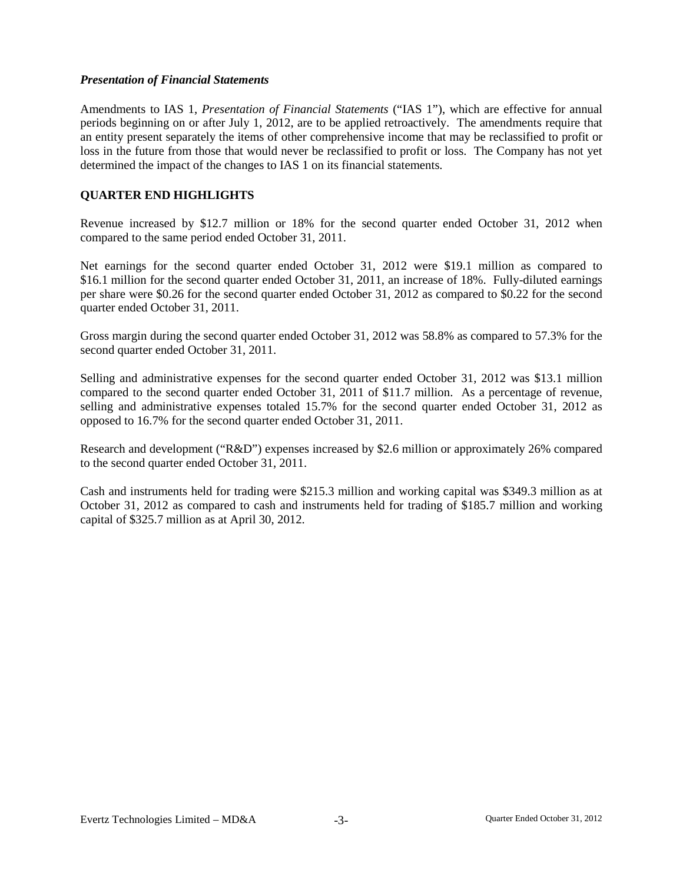### *Presentation of Financial Statements*

Amendments to IAS 1, *Presentation of Financial Statements* ("IAS 1"), which are effective for annual periods beginning on or after July 1, 2012, are to be applied retroactively. The amendments require that an entity present separately the items of other comprehensive income that may be reclassified to profit or loss in the future from those that would never be reclassified to profit or loss. The Company has not yet determined the impact of the changes to IAS 1 on its financial statements.

### **QUARTER END HIGHLIGHTS**

Revenue increased by \$12.7 million or 18% for the second quarter ended October 31, 2012 when compared to the same period ended October 31, 2011.

Net earnings for the second quarter ended October 31, 2012 were \$19.1 million as compared to \$16.1 million for the second quarter ended October 31, 2011, an increase of 18%. Fully-diluted earnings per share were \$0.26 for the second quarter ended October 31, 2012 as compared to \$0.22 for the second quarter ended October 31, 2011.

Gross margin during the second quarter ended October 31, 2012 was 58.8% as compared to 57.3% for the second quarter ended October 31, 2011.

Selling and administrative expenses for the second quarter ended October 31, 2012 was \$13.1 million compared to the second quarter ended October 31, 2011 of \$11.7 million. As a percentage of revenue, selling and administrative expenses totaled 15.7% for the second quarter ended October 31, 2012 as opposed to 16.7% for the second quarter ended October 31, 2011.

Research and development ("R&D") expenses increased by \$2.6 million or approximately 26% compared to the second quarter ended October 31, 2011.

Cash and instruments held for trading were \$215.3 million and working capital was \$349.3 million as at October 31, 2012 as compared to cash and instruments held for trading of \$185.7 million and working capital of \$325.7 million as at April 30, 2012.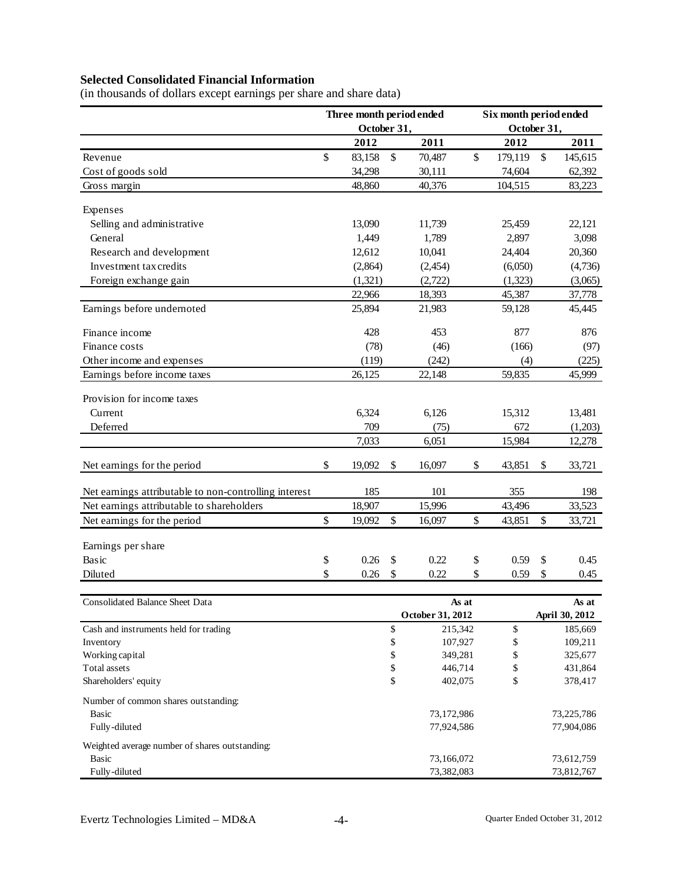# **Selected Consolidated Financial Information**

|  | (in thousands of dollars except earnings per share and share data) |  |
|--|--------------------------------------------------------------------|--|
|  |                                                                    |  |

|                                                       | Three month period ended<br>October 31, |          |                    |       |                 | Six month period ended<br>October 31, |                |  |
|-------------------------------------------------------|-----------------------------------------|----------|--------------------|-------|-----------------|---------------------------------------|----------------|--|
|                                                       | 2012                                    |          | 2011               |       | 2012            |                                       | 2011           |  |
| Revenue                                               | \$<br>83,158                            | \$       | 70,487             | \$    | 179,119         | \$                                    | 145,615        |  |
| Cost of goods sold                                    | 34,298                                  |          | 30,111             |       | 74,604          |                                       | 62,392         |  |
| Gross margin                                          | 48,860                                  |          | 40,376             |       | 104,515         |                                       | 83,223         |  |
|                                                       |                                         |          |                    |       |                 |                                       |                |  |
| Expenses<br>Selling and administrative                | 13,090                                  |          | 11,739             |       |                 |                                       | 22,121         |  |
| General                                               | 1,449                                   |          | 1,789              |       | 25,459<br>2,897 |                                       | 3,098          |  |
| Research and development                              | 12,612                                  |          | 10,041             |       | 24,404          |                                       | 20,360         |  |
| Investment tax credits                                | (2,864)                                 |          | (2, 454)           |       | (6,050)         |                                       | (4,736)        |  |
| Foreign exchange gain                                 | (1,321)                                 |          | (2,722)            |       | (1,323)         |                                       | (3,065)        |  |
|                                                       | 22,966                                  |          | 18,393             |       | 45,387          |                                       | 37,778         |  |
| Earnings before undernoted                            | 25,894                                  |          | 21,983             |       | 59,128          |                                       | 45,445         |  |
|                                                       |                                         |          |                    |       |                 |                                       |                |  |
| Finance income                                        | 428                                     |          | 453                |       | 877             |                                       | 876            |  |
| Finance costs                                         | (78)                                    |          | (46)               |       | (166)           |                                       | (97)           |  |
| Other income and expenses                             | (119)                                   |          | (242)              |       | (4)             |                                       | (225)          |  |
| Earnings before income taxes                          | 26,125                                  |          | 22,148             |       | 59,835          |                                       | 45,999         |  |
| Provision for income taxes                            |                                         |          |                    |       |                 |                                       |                |  |
| Current                                               | 6,324                                   |          | 6,126              |       | 15,312          |                                       | 13,481         |  |
| Deferred                                              | 709                                     |          | (75)               |       | 672             |                                       | (1,203)        |  |
|                                                       | 7,033                                   |          | 6,051              |       | 15,984          |                                       | 12,278         |  |
| Net earnings for the period                           | \$<br>19,092                            | \$       | 16,097             | \$    | 43,851          | \$                                    | 33,721         |  |
| Net earnings attributable to non-controlling interest | 185                                     |          | 101                |       | 355             |                                       | 198            |  |
| Net earnings attributable to shareholders             | 18,907                                  |          | 15,996             |       | 43,496          |                                       | 33,523         |  |
| Net earnings for the period                           | \$<br>19,092                            | \$       | 16,097             | \$    | 43,851          | \$                                    | 33,721         |  |
| Earnings per share                                    |                                         |          |                    |       |                 |                                       |                |  |
| Basic                                                 | \$<br>0.26                              | \$       | 0.22               | \$    | 0.59            | \$                                    | 0.45           |  |
| Diluted                                               | \$<br>0.26                              | \$       | 0.22               | \$    | 0.59            | \$                                    | 0.45           |  |
|                                                       |                                         |          |                    |       |                 |                                       |                |  |
| Consolidated Balance Sheet Data                       |                                         |          |                    | As at |                 |                                       | As at          |  |
|                                                       |                                         |          | October 31, 2012   |       |                 |                                       | April 30, 2012 |  |
| Cash and instruments held for trading                 |                                         | \$       | 215,342            |       | \$              |                                       | 185,669        |  |
| Inventory                                             |                                         | \$       | 107,927            |       | \$              |                                       | 109,211        |  |
| Working capital                                       |                                         | \$       | 349,281            |       | \$              |                                       | 325,677        |  |
| Total assets<br>Shareholders' equity                  |                                         | \$<br>\$ | 446,714<br>402,075 |       | \$<br>\$        |                                       | 431,864        |  |
|                                                       |                                         |          |                    |       |                 |                                       | 378,417        |  |
| Number of common shares outstanding:                  |                                         |          |                    |       |                 |                                       |                |  |
| <b>Basic</b>                                          |                                         |          | 73,172,986         |       |                 |                                       | 73,225,786     |  |
| Fully-diluted                                         |                                         |          | 77,924,586         |       |                 |                                       | 77,904,086     |  |
| Weighted average number of shares outstanding:        |                                         |          |                    |       |                 |                                       |                |  |
| <b>Basic</b>                                          |                                         |          | 73,166,072         |       |                 |                                       | 73,612,759     |  |
| Fully-diluted                                         |                                         |          | 73,382,083         |       |                 |                                       | 73,812,767     |  |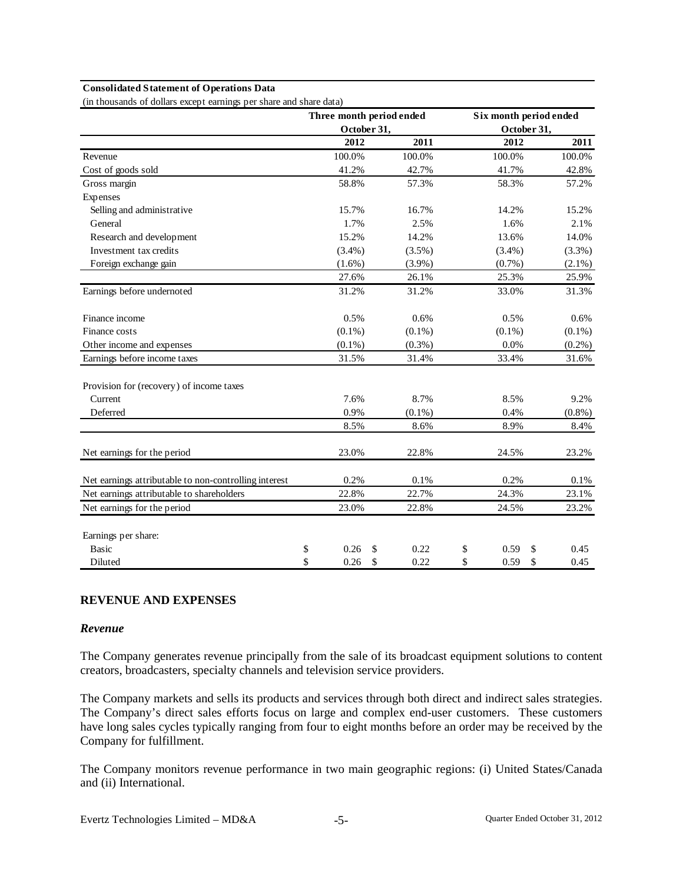#### **Consolidated Statement of Operations Data**

(in thousands of dollars except earnings per share and share data)

|                                                       |             |    | Three month period ended | Six month period ended |           |
|-------------------------------------------------------|-------------|----|--------------------------|------------------------|-----------|
|                                                       | October 31, |    |                          | October 31,            |           |
|                                                       | 2012        |    | 2011                     | 2012                   | 2011      |
| Revenue                                               | 100.0%      |    | 100.0%                   | 100.0%                 | 100.0%    |
| Cost of goods sold                                    | 41.2%       |    | 42.7%                    | 41.7%                  | 42.8%     |
| Gross margin                                          | 58.8%       |    | 57.3%                    | 58.3%                  | 57.2%     |
| Expenses                                              |             |    |                          |                        |           |
| Selling and administrative                            | 15.7%       |    | 16.7%                    | 14.2%                  | 15.2%     |
| General                                               | 1.7%        |    | 2.5%                     | 1.6%                   | 2.1%      |
| Research and development                              | 15.2%       |    | 14.2%                    | 13.6%                  | 14.0%     |
| Investment tax credits                                | $(3.4\%)$   |    | $(3.5\%)$                | $(3.4\%)$              | $(3.3\%)$ |
| Foreign exchange gain                                 | $(1.6\%)$   |    | $(3.9\%)$                | $(0.7\%)$              | $(2.1\%)$ |
|                                                       | 27.6%       |    | 26.1%                    | 25.3%                  | 25.9%     |
| Earnings before undernoted                            | 31.2%       |    | 31.2%                    | 33.0%                  | 31.3%     |
| Finance income                                        | 0.5%        |    | 0.6%                     | 0.5%                   | 0.6%      |
| Finance costs                                         | $(0.1\%)$   |    | $(0.1\%)$                | $(0.1\%)$              | $(0.1\%)$ |
| Other income and expenses                             | $(0.1\%)$   |    | $(0.3\%)$                | 0.0%                   | $(0.2\%)$ |
| Earnings before income taxes                          | 31.5%       |    | 31.4%                    | 33.4%                  | 31.6%     |
| Provision for (recovery) of income taxes              |             |    |                          |                        |           |
| Current                                               | 7.6%        |    | 8.7%                     | 8.5%                   | 9.2%      |
| Deferred                                              | 0.9%        |    | $(0.1\%)$                | 0.4%                   | $(0.8\%)$ |
|                                                       | 8.5%        |    | 8.6%                     | 8.9%                   | 8.4%      |
| Net earnings for the period                           | 23.0%       |    | 22.8%                    | 24.5%                  | 23.2%     |
| Net earnings attributable to non-controlling interest | 0.2%        |    | 0.1%                     | 0.2%                   | 0.1%      |
| Net earnings attributable to shareholders             | 22.8%       |    | 22.7%                    | 24.3%                  | 23.1%     |
| Net earnings for the period                           | 23.0%       |    | 22.8%                    | 24.5%                  | 23.2%     |
| Earnings per share:                                   |             |    |                          |                        |           |
| <b>Basic</b>                                          | \$<br>0.26  | S  | 0.22                     | \$<br>0.59<br>\$       | 0.45      |
| Diluted                                               | \$<br>0.26  | \$ | 0.22                     | \$<br>\$<br>0.59       | 0.45      |

### **REVENUE AND EXPENSES**

#### *Revenue*

The Company generates revenue principally from the sale of its broadcast equipment solutions to content creators, broadcasters, specialty channels and television service providers.

The Company markets and sells its products and services through both direct and indirect sales strategies. The Company's direct sales efforts focus on large and complex end-user customers. These customers have long sales cycles typically ranging from four to eight months before an order may be received by the Company for fulfillment.

The Company monitors revenue performance in two main geographic regions: (i) United States/Canada and (ii) International.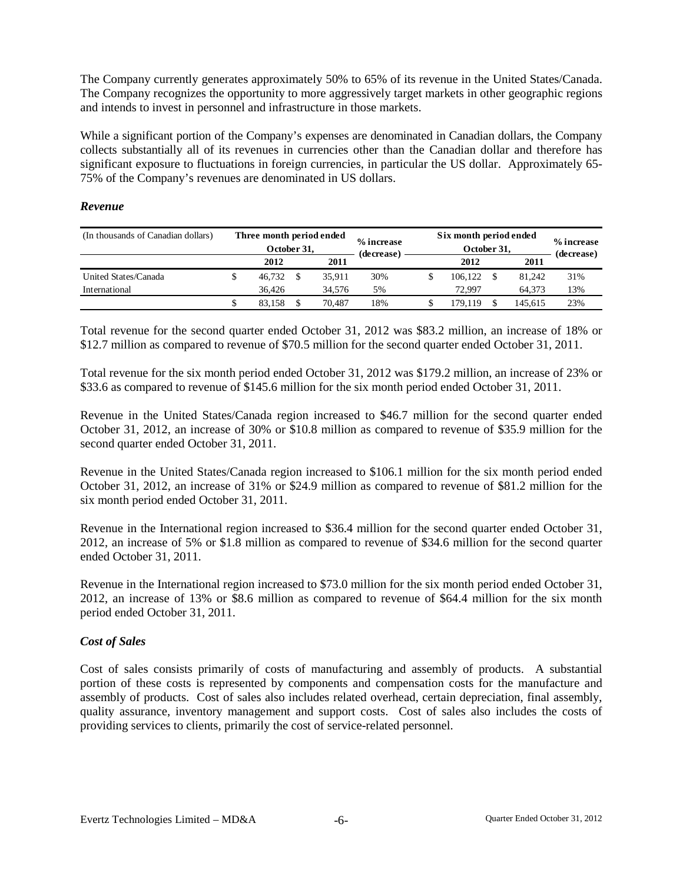The Company currently generates approximately 50% to 65% of its revenue in the United States/Canada. The Company recognizes the opportunity to more aggressively target markets in other geographic regions and intends to invest in personnel and infrastructure in those markets.

While a significant portion of the Company's expenses are denominated in Canadian dollars, the Company collects substantially all of its revenues in currencies other than the Canadian dollar and therefore has significant exposure to fluctuations in foreign currencies, in particular the US dollar. Approximately 65- 75% of the Company's revenues are denominated in US dollars.

### *Revenue*

| (In thousands of Canadian dollars) | Three month period ended<br>October 31, |  |        | % increase<br>(decrease) | Six month period ended | % increase<br>(decrease) |  |         |     |
|------------------------------------|-----------------------------------------|--|--------|--------------------------|------------------------|--------------------------|--|---------|-----|
|                                    | 2011<br>2012                            |  |        | 2012                     | 2011                   |                          |  |         |     |
| United States/Canada               | 46.732                                  |  | 35.911 | 30%                      |                        | 106.122                  |  | 81.242  | 31% |
| International                      | 36.426                                  |  | 34.576 | 5%                       |                        | 72.997                   |  | 64.373  | 13% |
|                                    | 83.158                                  |  | 70.487 | 18%                      |                        | 79.119                   |  | 145.615 | 23% |

Total revenue for the second quarter ended October 31, 2012 was \$83.2 million, an increase of 18% or \$12.7 million as compared to revenue of \$70.5 million for the second quarter ended October 31, 2011.

Total revenue for the six month period ended October 31, 2012 was \$179.2 million, an increase of 23% or \$33.6 as compared to revenue of \$145.6 million for the six month period ended October 31, 2011.

Revenue in the United States/Canada region increased to \$46.7 million for the second quarter ended October 31, 2012, an increase of 30% or \$10.8 million as compared to revenue of \$35.9 million for the second quarter ended October 31, 2011.

Revenue in the United States/Canada region increased to \$106.1 million for the six month period ended October 31, 2012, an increase of 31% or \$24.9 million as compared to revenue of \$81.2 million for the six month period ended October 31, 2011.

Revenue in the International region increased to \$36.4 million for the second quarter ended October 31, 2012, an increase of 5% or \$1.8 million as compared to revenue of \$34.6 million for the second quarter ended October 31, 2011.

Revenue in the International region increased to \$73.0 million for the six month period ended October 31, 2012, an increase of 13% or \$8.6 million as compared to revenue of \$64.4 million for the six month period ended October 31, 2011.

### *Cost of Sales*

Cost of sales consists primarily of costs of manufacturing and assembly of products. A substantial portion of these costs is represented by components and compensation costs for the manufacture and assembly of products. Cost of sales also includes related overhead, certain depreciation, final assembly, quality assurance, inventory management and support costs. Cost of sales also includes the costs of providing services to clients, primarily the cost of service-related personnel.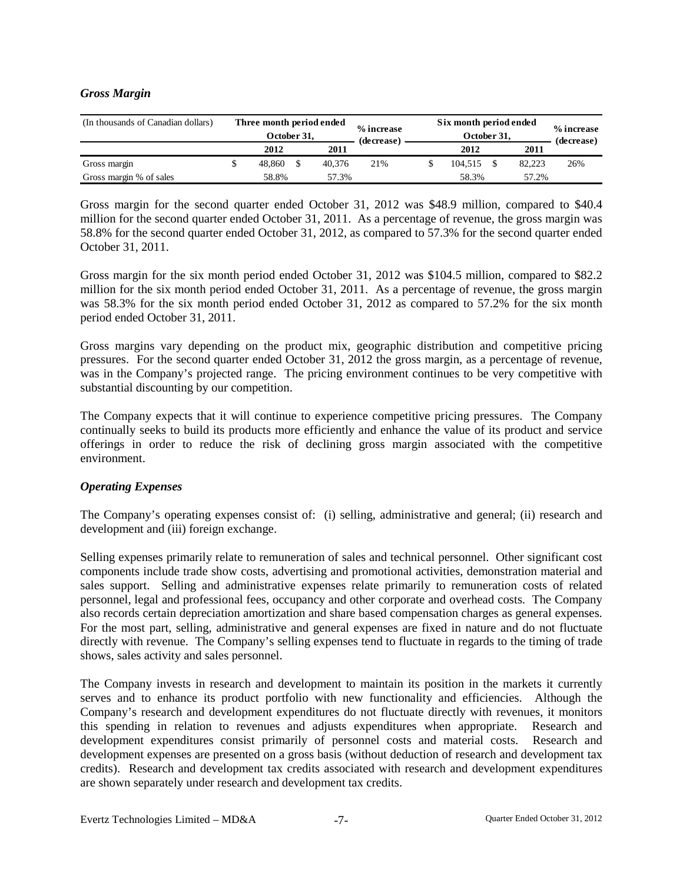### *Gross Margin*

| (In thousands of Canadian dollars) | Three month period ended<br>October 31, |        |  |        | % increase<br>(decrease) | Six month period ended | % increase<br>(decrease) |        |     |  |
|------------------------------------|-----------------------------------------|--------|--|--------|--------------------------|------------------------|--------------------------|--------|-----|--|
|                                    |                                         | 2012   |  | 2011   |                          |                        | 2012                     | 2011   |     |  |
| Gross margin                       |                                         | 48.860 |  | 40.376 | 21%                      |                        | 104.515                  | 82.223 | 26% |  |
| Gross margin % of sales            | 58.8%<br>57.3%                          |        |  |        |                          | 58.3%                  | 57.2%                    |        |     |  |

Gross margin for the second quarter ended October 31, 2012 was \$48.9 million, compared to \$40.4 million for the second quarter ended October 31, 2011. As a percentage of revenue, the gross margin was 58.8% for the second quarter ended October 31, 2012, as compared to 57.3% for the second quarter ended October 31, 2011.

Gross margin for the six month period ended October 31, 2012 was \$104.5 million, compared to \$82.2 million for the six month period ended October 31, 2011. As a percentage of revenue, the gross margin was 58.3% for the six month period ended October 31, 2012 as compared to 57.2% for the six month period ended October 31, 2011.

Gross margins vary depending on the product mix, geographic distribution and competitive pricing pressures. For the second quarter ended October 31, 2012 the gross margin, as a percentage of revenue, was in the Company's projected range. The pricing environment continues to be very competitive with substantial discounting by our competition.

The Company expects that it will continue to experience competitive pricing pressures. The Company continually seeks to build its products more efficiently and enhance the value of its product and service offerings in order to reduce the risk of declining gross margin associated with the competitive environment.

### *Operating Expenses*

The Company's operating expenses consist of: (i) selling, administrative and general; (ii) research and development and (iii) foreign exchange.

Selling expenses primarily relate to remuneration of sales and technical personnel. Other significant cost components include trade show costs, advertising and promotional activities, demonstration material and sales support. Selling and administrative expenses relate primarily to remuneration costs of related personnel, legal and professional fees, occupancy and other corporate and overhead costs. The Company also records certain depreciation amortization and share based compensation charges as general expenses. For the most part, selling, administrative and general expenses are fixed in nature and do not fluctuate directly with revenue. The Company's selling expenses tend to fluctuate in regards to the timing of trade shows, sales activity and sales personnel.

The Company invests in research and development to maintain its position in the markets it currently serves and to enhance its product portfolio with new functionality and efficiencies. Although the Company's research and development expenditures do not fluctuate directly with revenues, it monitors this spending in relation to revenues and adjusts expenditures when appropriate. Research and development expenditures consist primarily of personnel costs and material costs. Research and development expenses are presented on a gross basis (without deduction of research and development tax credits). Research and development tax credits associated with research and development expenditures are shown separately under research and development tax credits.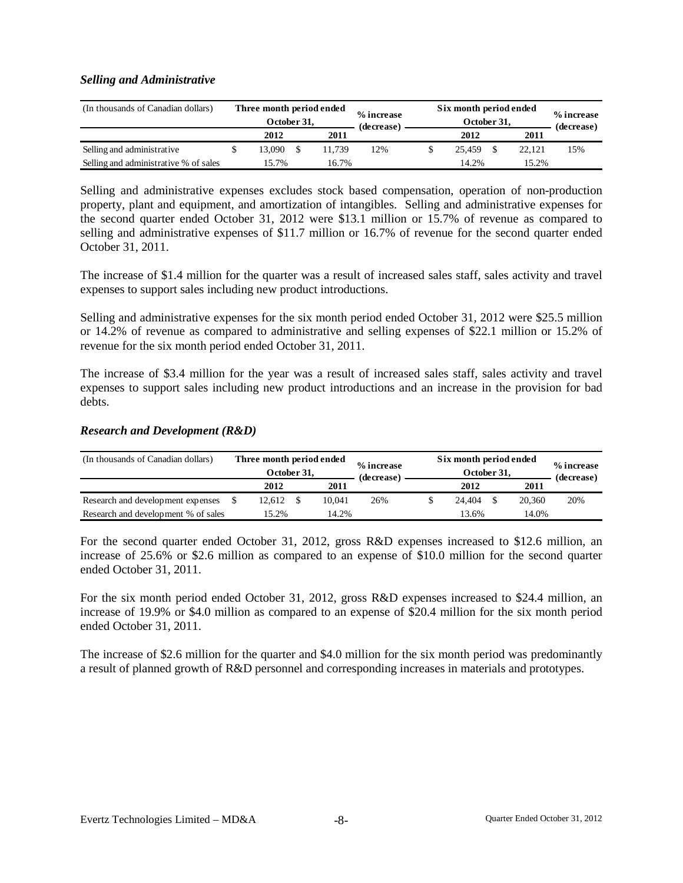### *Selling and Administrative*

| (In thousands of Canadian dollars)    | Three month period ended<br>October 31, |        |  |        | % increase<br>(decrease) | Six month period ended | % increase<br>(decrease) |        |     |  |
|---------------------------------------|-----------------------------------------|--------|--|--------|--------------------------|------------------------|--------------------------|--------|-----|--|
|                                       |                                         | 2012   |  | 2011   |                          |                        | 2012                     | 2011   |     |  |
| Selling and administrative            |                                         | 13.090 |  | 11.739 | 12%                      |                        | 25.459                   | 22.121 | 15% |  |
| Selling and administrative % of sales |                                         | 15.7%  |  | 16.7%  |                          |                        | 14.2%                    | 15.2%  |     |  |

Selling and administrative expenses excludes stock based compensation, operation of non-production property, plant and equipment, and amortization of intangibles. Selling and administrative expenses for the second quarter ended October 31, 2012 were \$13.1 million or 15.7% of revenue as compared to selling and administrative expenses of \$11.7 million or 16.7% of revenue for the second quarter ended October 31, 2011.

The increase of \$1.4 million for the quarter was a result of increased sales staff, sales activity and travel expenses to support sales including new product introductions.

Selling and administrative expenses for the six month period ended October 31, 2012 were \$25.5 million or 14.2% of revenue as compared to administrative and selling expenses of \$22.1 million or 15.2% of revenue for the six month period ended October 31, 2011.

The increase of \$3.4 million for the year was a result of increased sales staff, sales activity and travel expenses to support sales including new product introductions and an increase in the provision for bad debts.

#### *Research and Development (R&D)*

| (In thousands of Canadian dollars)  |                | Three month period ended<br>October 31. |        | % increase<br>(decrease) | Six month period ended<br>October 31, |  |        |            |  |  |
|-------------------------------------|----------------|-----------------------------------------|--------|--------------------------|---------------------------------------|--|--------|------------|--|--|
|                                     |                | 2012                                    | 2011   |                          | 2012                                  |  | 2011   | (decrease) |  |  |
| Research and development expenses   |                | 12.612                                  | 10.041 | 26%                      | 24.404                                |  | 20.360 | 20%        |  |  |
| Research and development % of sales | 15.2%<br>14.2% |                                         |        | 13.6%                    |                                       |  |        |            |  |  |

For the second quarter ended October 31, 2012, gross R&D expenses increased to \$12.6 million, an increase of 25.6% or \$2.6 million as compared to an expense of \$10.0 million for the second quarter ended October 31, 2011.

For the six month period ended October 31, 2012, gross R&D expenses increased to \$24.4 million, an increase of 19.9% or \$4.0 million as compared to an expense of \$20.4 million for the six month period ended October 31, 2011.

The increase of \$2.6 million for the quarter and \$4.0 million for the six month period was predominantly a result of planned growth of R&D personnel and corresponding increases in materials and prototypes.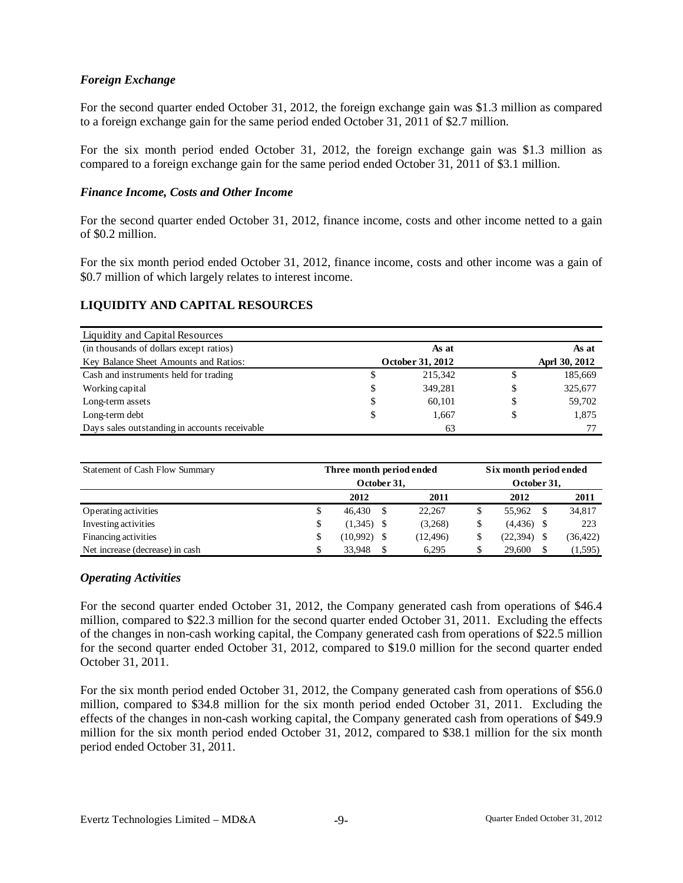### *Foreign Exchange*

For the second quarter ended October 31, 2012, the foreign exchange gain was \$1.3 million as compared to a foreign exchange gain for the same period ended October 31, 2011 of \$2.7 million.

For the six month period ended October 31, 2012, the foreign exchange gain was \$1.3 million as compared to a foreign exchange gain for the same period ended October 31, 2011 of \$3.1 million.

#### *Finance Income, Costs and Other Income*

For the second quarter ended October 31, 2012, finance income, costs and other income netted to a gain of \$0.2 million.

For the six month period ended October 31, 2012, finance income, costs and other income was a gain of \$0.7 million of which largely relates to interest income.

### **LIQUIDITY AND CAPITAL RESOURCES**

| Liquidity and Capital Resources               |    |                  |               |
|-----------------------------------------------|----|------------------|---------------|
| (in thousands of dollars except ratios)       |    | As at            | As at         |
| Key Balance Sheet Amounts and Ratios:         |    | October 31, 2012 | Aprl 30, 2012 |
| Cash and instruments held for trading         | S  | 215,342          | \$<br>185,669 |
| Working capital                               | \$ | 349.281          | \$<br>325,677 |
| Long-term assets                              | \$ | 60.101           | \$<br>59,702  |
| Long-term debt                                | \$ | 1.667            | \$<br>1,875   |
| Days sales outstanding in accounts receivable |    | 63               |               |

| Statement of Cash Flow Summary  |   | Three month period ended | Six month period ended |           |           |  |           |  |
|---------------------------------|---|--------------------------|------------------------|-----------|-----------|--|-----------|--|
|                                 |   | October 31,              | October 31.            |           |           |  |           |  |
|                                 |   | 2012                     |                        | 2011      | 2012      |  | 2011      |  |
| Operating activities            | J | 46.430                   | -S                     | 22,267    | 55,962    |  | 34,817    |  |
| Investing activities            | S | $(1,345)$ \$             |                        | (3,268)   | (4, 436)  |  | 223       |  |
| Financing activities            | S | (10,992)                 | - \$                   | (12, 496) | (22, 394) |  | (36, 422) |  |
| Net increase (decrease) in cash |   | 33.948                   | S                      | 6.295     | 29,600    |  | (1, 595)  |  |

#### *Operating Activities*

For the second quarter ended October 31, 2012, the Company generated cash from operations of \$46.4 million, compared to \$22.3 million for the second quarter ended October 31, 2011. Excluding the effects of the changes in non-cash working capital, the Company generated cash from operations of \$22.5 million for the second quarter ended October 31, 2012, compared to \$19.0 million for the second quarter ended October 31, 2011.

For the six month period ended October 31, 2012, the Company generated cash from operations of \$56.0 million, compared to \$34.8 million for the six month period ended October 31, 2011. Excluding the effects of the changes in non-cash working capital, the Company generated cash from operations of \$49.9 million for the six month period ended October 31, 2012, compared to \$38.1 million for the six month period ended October 31, 2011.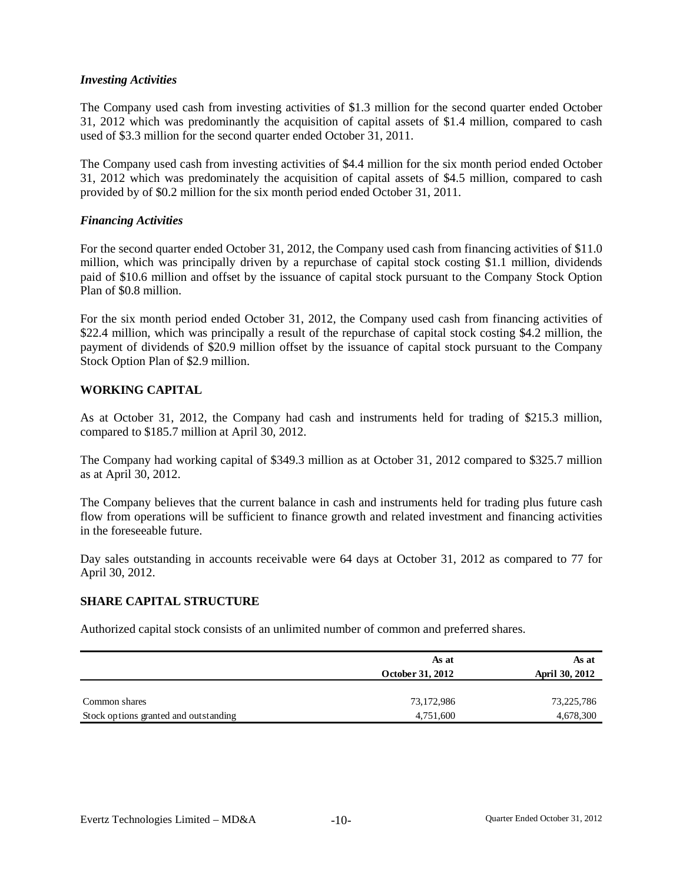### *Investing Activities*

The Company used cash from investing activities of \$1.3 million for the second quarter ended October 31, 2012 which was predominantly the acquisition of capital assets of \$1.4 million, compared to cash used of \$3.3 million for the second quarter ended October 31, 2011.

The Company used cash from investing activities of \$4.4 million for the six month period ended October 31, 2012 which was predominately the acquisition of capital assets of \$4.5 million, compared to cash provided by of \$0.2 million for the six month period ended October 31, 2011.

### *Financing Activities*

For the second quarter ended October 31, 2012, the Company used cash from financing activities of \$11.0 million, which was principally driven by a repurchase of capital stock costing \$1.1 million, dividends paid of \$10.6 million and offset by the issuance of capital stock pursuant to the Company Stock Option Plan of \$0.8 million.

For the six month period ended October 31, 2012, the Company used cash from financing activities of \$22.4 million, which was principally a result of the repurchase of capital stock costing \$4.2 million, the payment of dividends of \$20.9 million offset by the issuance of capital stock pursuant to the Company Stock Option Plan of \$2.9 million.

### **WORKING CAPITAL**

As at October 31, 2012, the Company had cash and instruments held for trading of \$215.3 million, compared to \$185.7 million at April 30, 2012.

The Company had working capital of \$349.3 million as at October 31, 2012 compared to \$325.7 million as at April 30, 2012.

The Company believes that the current balance in cash and instruments held for trading plus future cash flow from operations will be sufficient to finance growth and related investment and financing activities in the foreseeable future.

Day sales outstanding in accounts receivable were 64 days at October 31, 2012 as compared to 77 for April 30, 2012.

# **SHARE CAPITAL STRUCTURE**

Authorized capital stock consists of an unlimited number of common and preferred shares.

|                                       | As at            | As at          |
|---------------------------------------|------------------|----------------|
|                                       | October 31, 2012 | April 30, 2012 |
|                                       |                  |                |
| Common shares                         | 73,172,986       | 73,225,786     |
| Stock options granted and outstanding | 4,751,600        | 4,678,300      |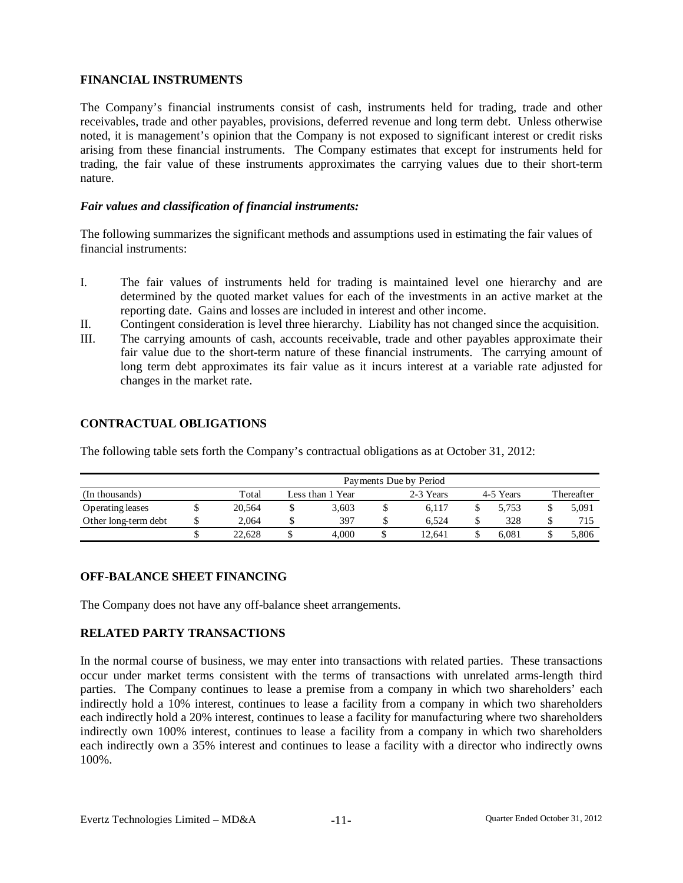### **FINANCIAL INSTRUMENTS**

The Company's financial instruments consist of cash, instruments held for trading, trade and other receivables, trade and other payables, provisions, deferred revenue and long term debt. Unless otherwise noted, it is management's opinion that the Company is not exposed to significant interest or credit risks arising from these financial instruments. The Company estimates that except for instruments held for trading, the fair value of these instruments approximates the carrying values due to their short-term nature.

### *Fair values and classification of financial instruments:*

The following summarizes the significant methods and assumptions used in estimating the fair values of financial instruments:

- I. The fair values of instruments held for trading is maintained level one hierarchy and are determined by the quoted market values for each of the investments in an active market at the reporting date. Gains and losses are included in interest and other income.
- II. Contingent consideration is level three hierarchy. Liability has not changed since the acquisition.
- III. The carrying amounts of cash, accounts receivable, trade and other payables approximate their fair value due to the short-term nature of these financial instruments. The carrying amount of long term debt approximates its fair value as it incurs interest at a variable rate adjusted for changes in the market rate.

### **CONTRACTUAL OBLIGATIONS**

The following table sets forth the Company's contractual obligations as at October 31, 2012:

|                      |   | Payments Due by Period |                  |       |  |           |  |           |            |       |  |  |  |  |
|----------------------|---|------------------------|------------------|-------|--|-----------|--|-----------|------------|-------|--|--|--|--|
| (In thousands)       |   | Total                  | Less than 1 Year |       |  | 2-3 Years |  | 4-5 Years | Thereafter |       |  |  |  |  |
| Operating leases     |   | 20.564                 |                  | 3.603 |  | 6.117     |  | 5.753     |            | 5.091 |  |  |  |  |
| Other long-term debt | Φ | 2.064                  |                  | 397   |  | 6.524     |  | 328       |            | 715   |  |  |  |  |
|                      |   | 22.628                 |                  | 4.000 |  | 12.641    |  | 6.081     |            | 5.806 |  |  |  |  |

### **OFF-BALANCE SHEET FINANCING**

The Company does not have any off-balance sheet arrangements.

### **RELATED PARTY TRANSACTIONS**

In the normal course of business, we may enter into transactions with related parties. These transactions occur under market terms consistent with the terms of transactions with unrelated arms-length third parties. The Company continues to lease a premise from a company in which two shareholders' each indirectly hold a 10% interest, continues to lease a facility from a company in which two shareholders each indirectly hold a 20% interest, continues to lease a facility for manufacturing where two shareholders indirectly own 100% interest, continues to lease a facility from a company in which two shareholders each indirectly own a 35% interest and continues to lease a facility with a director who indirectly owns 100%.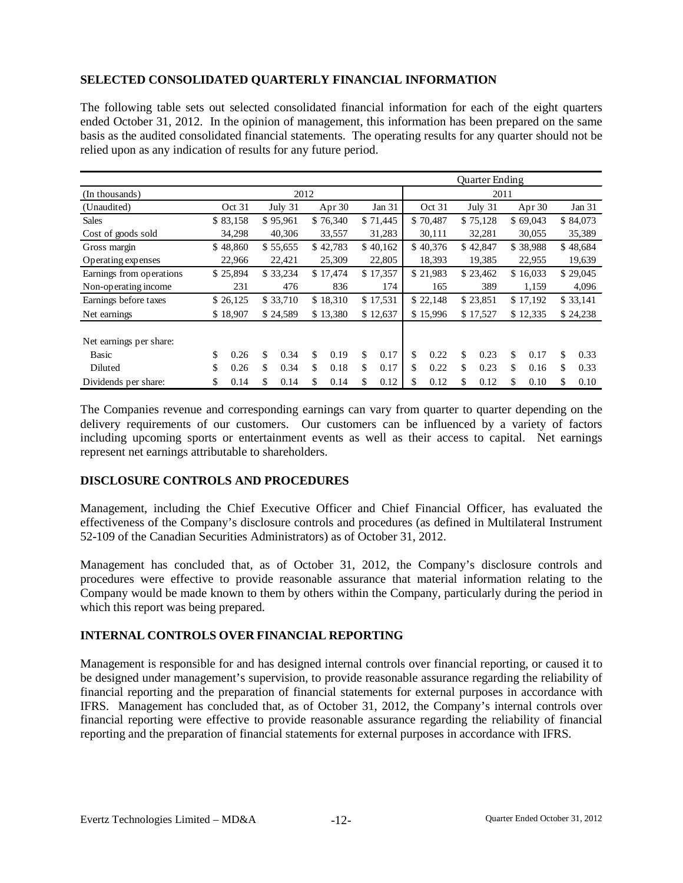# **SELECTED CONSOLIDATED QUARTERLY FINANCIAL INFORMATION**

The following table sets out selected consolidated financial information for each of the eight quarters ended October 31, 2012. In the opinion of management, this information has been prepared on the same basis as the audited consolidated financial statements. The operating results for any quarter should not be relied upon as any indication of results for any future period.

|                          | Quarter Ending |          |     |                      |          |          |                      |          |          |                      |          |          |          |          |    |          |
|--------------------------|----------------|----------|-----|----------------------|----------|----------|----------------------|----------|----------|----------------------|----------|----------|----------|----------|----|----------|
| (In thousands)           |                |          |     |                      | 2012     |          |                      |          |          |                      |          | 2011     |          |          |    |          |
| (Unaudited)              |                | Oct 31   |     | July 31              |          | Apr $30$ |                      | Jan 31   |          | Oct 31               |          | July 31  |          | Apr 30   |    | Jan 31   |
| <b>Sales</b>             |                | \$83,158 |     | \$95,961             |          | \$76,340 |                      | \$71,445 |          | \$70,487             |          | \$75,128 |          | \$69,043 |    | \$84,073 |
| Cost of goods sold       |                | 34,298   |     | 40,306               |          | 33,557   |                      | 31,283   |          | 30,111               |          | 32,281   |          | 30,055   |    | 35,389   |
| Gross margin             |                | \$48,860 |     | \$55,655             |          | \$42,783 |                      | \$40,162 |          | \$40,376             |          | \$42,847 |          | \$38,988 |    | \$48,684 |
| Operating expenses       |                | 22,966   |     | 22,421               |          | 25,309   |                      | 22,805   |          | 18,393               |          | 19,385   |          | 22,955   |    | 19,639   |
| Earnings from operations |                | \$25,894 |     | \$33,234             | \$17,474 |          | \$17,357             |          | \$21,983 |                      | \$23,462 |          | \$16,033 |          |    | \$29,045 |
| Non-operating income     |                | 231      | 476 |                      | 836      |          |                      | 174      |          | 165                  |          | 389      |          | 1,159    |    | 4,096    |
| Earnings before taxes    |                | \$26,125 |     | \$33,710<br>\$18,310 |          |          | \$17,531<br>\$22,148 |          |          | \$23,851             |          | \$17,192 |          | \$33,141 |    |          |
| Net earnings             |                | \$18,907 |     | \$24,589             |          | \$13,380 |                      | \$12,637 |          | \$17,527<br>\$15,996 |          |          |          | \$12,335 |    | \$24,238 |
| Net earnings per share:  |                |          |     |                      |          |          |                      |          |          |                      |          |          |          |          |    |          |
| <b>Basic</b>             | \$             | 0.26     | \$  | 0.34                 | \$       | 0.19     | \$                   | 0.17     | \$       | 0.22                 | \$       | 0.23     | \$       | 0.17     | \$ | 0.33     |
| Diluted                  | \$             | 0.26     | \$  | 0.34                 | \$       | 0.18     | \$.                  | 0.17     | \$       | 0.22                 | \$       | 0.23     | \$       | 0.16     | \$ | 0.33     |
| Dividends per share:     | \$             | 0.14     | \$  | 0.14                 | \$       | 0.14     | \$                   | 0.12     | \$       | 0.12                 | \$       | 0.12     | \$       | 0.10     | \$ | 0.10     |

The Companies revenue and corresponding earnings can vary from quarter to quarter depending on the delivery requirements of our customers. Our customers can be influenced by a variety of factors including upcoming sports or entertainment events as well as their access to capital. Net earnings represent net earnings attributable to shareholders.

# **DISCLOSURE CONTROLS AND PROCEDURES**

Management, including the Chief Executive Officer and Chief Financial Officer, has evaluated the effectiveness of the Company's disclosure controls and procedures (as defined in Multilateral Instrument 52-109 of the Canadian Securities Administrators) as of October 31, 2012.

Management has concluded that, as of October 31, 2012, the Company's disclosure controls and procedures were effective to provide reasonable assurance that material information relating to the Company would be made known to them by others within the Company, particularly during the period in which this report was being prepared.

# **INTERNAL CONTROLS OVER FINANCIAL REPORTING**

Management is responsible for and has designed internal controls over financial reporting, or caused it to be designed under management's supervision, to provide reasonable assurance regarding the reliability of financial reporting and the preparation of financial statements for external purposes in accordance with IFRS. Management has concluded that, as of October 31, 2012, the Company's internal controls over financial reporting were effective to provide reasonable assurance regarding the reliability of financial reporting and the preparation of financial statements for external purposes in accordance with IFRS.